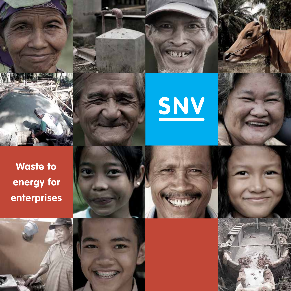





**Heap** 

**Waste to energy for enterprises**





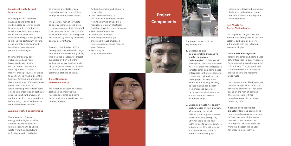## **Imagine if waste turned into energy**

In many parts of Indonesia, households and small and medium sized enterprises need to contend with limited access to affordable and clean energy. Investment in clean and renewable energy, while growing, is still lacking particularly in rural areas and this is compounded by a limited awareness of potential technologies.

Indonesia's 'energy poor' includes small and homebased producers of tofu, coconut sugar, cassava and other agricultural products. Many of these producers continue to use firewood which places the health of families and workers at risk and emits harmful greenhouse gases that contribute to global warming. Waste from palm oil and tofu production in particular releases significant amounts of methane gas into the atmosphere before being treated and released back into the environment.

## **Benefiting from renewable energy**

### **Avoiding wasted opportunities**

The up-scaling of waste to energy technologies provides enterprises and households with an opportunity to utilise waste from their agricultural or food processing activities

to produce affordable, clean, renewable energy to meet their enterprise and domestic needs.

The potential market for wasteto-energy technologies is large. In Indonesia alone, it is estimated that there are more than 250,000 small and home-based enterprises not reached by existing renewable energy interventions.

Through this initiative, SNV is leveraging its experience in biogas both within Indonesia and globally. This includes a successful project supported by EEP in Central Kalimantan where medium scale biogas digesters were introduced in communities where there is communal stabling of cattle.

The adoption of waste-to-energy technologies improves the livelihoods of small and homebased agricultural producers in a number of ways:

- Reduced spending and labour to procure fuel
- Improved health due to the reduced inhalation of smoke from the burning of wood fuel
- Production of organic fertiliser from bio-slurry for reuse on crops
- Reduced deforestation
- Cleaner surroundings
- Reduced greenhouse gas emissions through improved waste management and reduced wood fuel use
- Electricity for off-grid communities

The project consists of two key components:

**1. Developing and demonstrating innovative waste-to-energy** 

**technologies:** Initially we will develop and field-test innovative waste-to-energy technologies in targeted small and home-based enterprises in the tofu, cassava, coconut and palm oil sectors. Initial project locations are where SNV is already working so that that we can benefit from increased synergies, tap into established networks and partners and access local knowledge.

# **2. Upscaling waste-to-energy technologies in new markets:**  After proving technical

feasibility and appropriateness for the business enterprise, SNV will scale up the new technologies to users elsewhere in Indonesia. SNV will identify and demonstrate business models for upscaling and

disseminate learning both within Indonesia and globally though our office network and regional learning events.

# **New Waste-to-Energy Technologies**

The project will target small and home-based enterprises in the tofu, cassava, and palm oil sectors in Indonesia with the following new technologies:

## • **Tofu waste bio-digester**:

Targeted to small and home-based tofu enterprises in Nusa Tenggara Barat due to its large home-based tofu industry. The gas produced from tofu waste will be used for producing tofu and replacing wood fuels.

*Up-scale potential:* The innovation can also be applied to other tofu producing provinces of Indonesia based on the market demand. There are around 48,000 home businesses in Indonesia producing tofu.

• **Cassava solid waste biodigester**: Targeted at small and home-based cassava enterprises in East Java, one of the largest cassava production centres in Indonesia. The gas produced from the digester will be used for producing electricity or











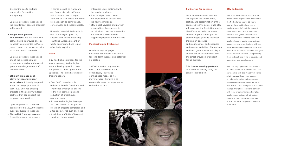distributing gas to multiple households for cooking and lighting.

*Up-scale potential:* Indonesia is the third largest cassava producer in the world.

#### • **Biogas from palm oil**

**mill effluent**: We will work with palm oil mills to provide energy to nearby communities in Muaro Jambi, one of the centres of palm oil production in Indonesia.

*Up-scale potential:* Indonesia is one of the largest palm oil producing countries in the world generating a large amount of palm oil waste.

## • **Effi cient biomass cook stove for coconut sugar**

**enterprises**: Primarily targeted at coconut sugar producers in East Java. SNV has existing projects in the sector with local partners that can support the proposed intervention.

*Up-scale potential:* There are estimated to be 100,000 coconut sugar producers in Indonesia.

• **Bio-pallet from agri-waste**: Primarily targeted at farmers

enterprise users satisfied with the new technologies

in Jambi, as well as Manggarai and Ngada districts in Flores, which have access to large amounts of farm waste and other biomass such as palm fronds, coffee husks and coconut waste.

> SNV will monitor progress and keep track of lessons learnt, continuously improving our business model as we move forward. Our aim is to constantly share our experiences with other actors.

*Up-scale potential:* Indonesia is one of the largest palm oil, coconut and coffee producing countries. A large amount of waste is generated and is not effectively exploited.

## **Goals**

SNV has high aspirations for the waste to energy technologies we are developing which have the potential to be significantly upscaled. The immediate goals of this project are:

- Over 1000 households in Indonesia benefit from improved livelihoods through up-scaling of the new technologies and reduction of greenhouse gas emissions
- Six new technologies developed and user tested: 21 biogas and bio-pallet projects completed and 1800 cook stoves built and used
- At minimum of 80% of targeted small and home-based

|     | SNV is an international not-for-profit  |
|-----|-----------------------------------------|
|     | development organisation. Founded in    |
|     | the Netherlands nearly 50 years         |
| V   | ago, we have built a long-term,         |
| ЭS, | local presence in 39 of the poorest     |
|     | countries in Asia, Africa and Latin     |
|     | America. Our global team of local       |
|     | and international advisors work with    |
|     | local partners to equip communities,    |
|     | businesses and organisations with the   |
| าลl | tools, knowledge and connections they   |
|     | need to increase their incomes and gain |
|     | access to basic services - empowering   |
|     | them to break the cycle of poverty and  |
|     | guide their own development.            |

- Four local partners trained and supported to disseminate the new technologies
- SNV global advisers and partner organisations have access to technical and user documentation and technical assistance to support replication in other areas

SNV officially opened its office doors in Indonesia in 2013. We work in close partnership with the Ministry of Home Affairs across three main sectors in Indonesia, water and sanitation, renewable energy and agriculture as well as the crosscutting issue of climate change. Our philosophy is to partner with local organisations and employ local people, believing that lasting change to the lives of the poor has to start with the people who live and work here.

#### **Monitoring and Evaluation**

Good oversight of project outcomes and impact is essential for long-term success and potential up-scaling.

#### **Partnering for success**

Local implementation partners will support the construction, testing, and dissemination of the promoted technologies, while SNV will carry out the feasibility studies identify construction locations, develop appropriate biogas and stove designs, provide technical training on operation and maintenance, and supervise and monitor activities. The nation and local governments will play a crucial role in co-ordination and the direct provision of support for up-scaling.

SNV is **now seeking partners**  interested in helping bring the project into fruition.



#### **SNV Indonesia**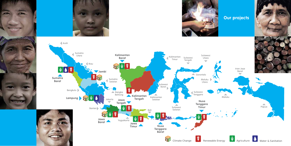